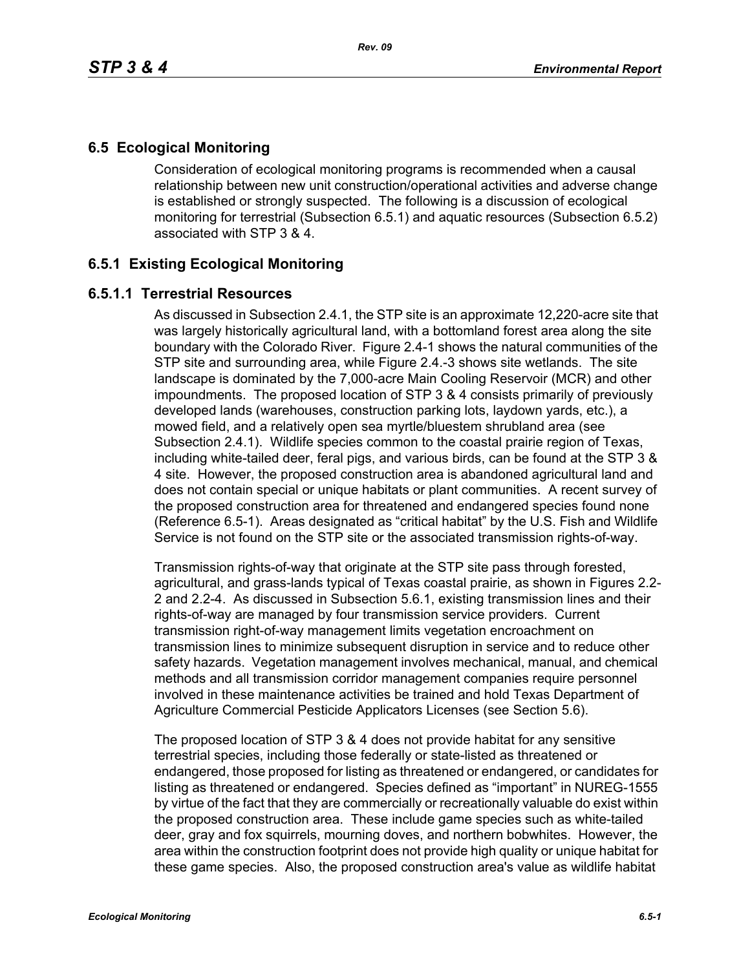# **6.5 Ecological Monitoring**

Consideration of ecological monitoring programs is recommended when a causal relationship between new unit construction/operational activities and adverse change is established or strongly suspected. The following is a discussion of ecological monitoring for terrestrial (Subsection 6.5.1) and aquatic resources (Subsection 6.5.2) associated with STP 3 & 4.

## **6.5.1 Existing Ecological Monitoring**

### **6.5.1.1 Terrestrial Resources**

As discussed in Subsection 2.4.1, the STP site is an approximate 12,220-acre site that was largely historically agricultural land, with a bottomland forest area along the site boundary with the Colorado River. Figure 2.4-1 shows the natural communities of the STP site and surrounding area, while Figure 2.4.-3 shows site wetlands. The site landscape is dominated by the 7,000-acre Main Cooling Reservoir (MCR) and other impoundments. The proposed location of STP 3 & 4 consists primarily of previously developed lands (warehouses, construction parking lots, laydown yards, etc.), a mowed field, and a relatively open sea myrtle/bluestem shrubland area (see Subsection 2.4.1). Wildlife species common to the coastal prairie region of Texas, including white-tailed deer, feral pigs, and various birds, can be found at the STP 3 & 4 site. However, the proposed construction area is abandoned agricultural land and does not contain special or unique habitats or plant communities. A recent survey of the proposed construction area for threatened and endangered species found none (Reference 6.5-1). Areas designated as "critical habitat" by the U.S. Fish and Wildlife Service is not found on the STP site or the associated transmission rights-of-way.

Transmission rights-of-way that originate at the STP site pass through forested, agricultural, and grass-lands typical of Texas coastal prairie, as shown in Figures 2.2- 2 and 2.2-4. As discussed in Subsection 5.6.1, existing transmission lines and their rights-of-way are managed by four transmission service providers. Current transmission right-of-way management limits vegetation encroachment on transmission lines to minimize subsequent disruption in service and to reduce other safety hazards. Vegetation management involves mechanical, manual, and chemical methods and all transmission corridor management companies require personnel involved in these maintenance activities be trained and hold Texas Department of Agriculture Commercial Pesticide Applicators Licenses (see Section 5.6).

The proposed location of STP 3 & 4 does not provide habitat for any sensitive terrestrial species, including those federally or state-listed as threatened or endangered, those proposed for listing as threatened or endangered, or candidates for listing as threatened or endangered. Species defined as "important" in NUREG-1555 by virtue of the fact that they are commercially or recreationally valuable do exist within the proposed construction area. These include game species such as white-tailed deer, gray and fox squirrels, mourning doves, and northern bobwhites. However, the area within the construction footprint does not provide high quality or unique habitat for these game species. Also, the proposed construction area's value as wildlife habitat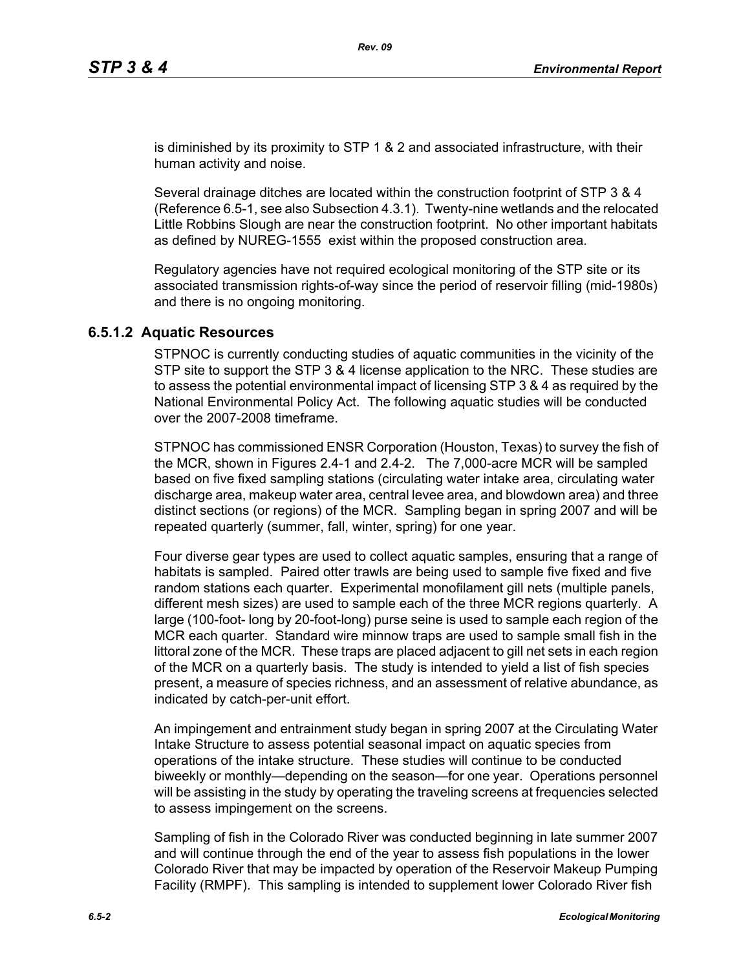is diminished by its proximity to STP 1 & 2 and associated infrastructure, with their human activity and noise.

Several drainage ditches are located within the construction footprint of STP 3 & 4 (Reference 6.5-1, see also Subsection 4.3.1). Twenty-nine wetlands and the relocated Little Robbins Slough are near the construction footprint. No other important habitats as defined by NUREG-1555 exist within the proposed construction area.

Regulatory agencies have not required ecological monitoring of the STP site or its associated transmission rights-of-way since the period of reservoir filling (mid-1980s) and there is no ongoing monitoring.

#### **6.5.1.2 Aquatic Resources**

STPNOC is currently conducting studies of aquatic communities in the vicinity of the STP site to support the STP 3 & 4 license application to the NRC. These studies are to assess the potential environmental impact of licensing STP 3 & 4 as required by the National Environmental Policy Act. The following aquatic studies will be conducted over the 2007-2008 timeframe.

STPNOC has commissioned ENSR Corporation (Houston, Texas) to survey the fish of the MCR, shown in Figures 2.4-1 and 2.4-2. The 7,000-acre MCR will be sampled based on five fixed sampling stations (circulating water intake area, circulating water discharge area, makeup water area, central levee area, and blowdown area) and three distinct sections (or regions) of the MCR. Sampling began in spring 2007 and will be repeated quarterly (summer, fall, winter, spring) for one year.

Four diverse gear types are used to collect aquatic samples, ensuring that a range of habitats is sampled. Paired otter trawls are being used to sample five fixed and five random stations each quarter. Experimental monofilament gill nets (multiple panels, different mesh sizes) are used to sample each of the three MCR regions quarterly. A large (100-foot- long by 20-foot-long) purse seine is used to sample each region of the MCR each quarter. Standard wire minnow traps are used to sample small fish in the littoral zone of the MCR. These traps are placed adjacent to gill net sets in each region of the MCR on a quarterly basis. The study is intended to yield a list of fish species present, a measure of species richness, and an assessment of relative abundance, as indicated by catch-per-unit effort.

An impingement and entrainment study began in spring 2007 at the Circulating Water Intake Structure to assess potential seasonal impact on aquatic species from operations of the intake structure. These studies will continue to be conducted biweekly or monthly—depending on the season—for one year. Operations personnel will be assisting in the study by operating the traveling screens at frequencies selected to assess impingement on the screens.

Sampling of fish in the Colorado River was conducted beginning in late summer 2007 and will continue through the end of the year to assess fish populations in the lower Colorado River that may be impacted by operation of the Reservoir Makeup Pumping Facility (RMPF). This sampling is intended to supplement lower Colorado River fish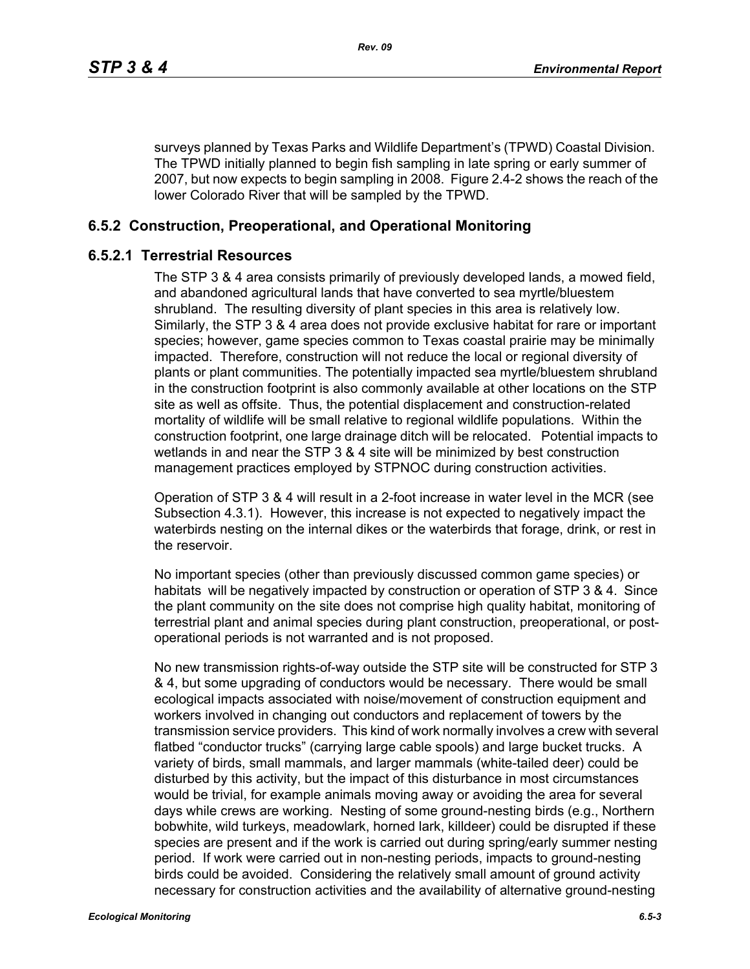surveys planned by Texas Parks and Wildlife Department's (TPWD) Coastal Division. The TPWD initially planned to begin fish sampling in late spring or early summer of 2007, but now expects to begin sampling in 2008. Figure 2.4-2 shows the reach of the lower Colorado River that will be sampled by the TPWD.

## **6.5.2 Construction, Preoperational, and Operational Monitoring**

#### **6.5.2.1 Terrestrial Resources**

The STP 3 & 4 area consists primarily of previously developed lands, a mowed field, and abandoned agricultural lands that have converted to sea myrtle/bluestem shrubland. The resulting diversity of plant species in this area is relatively low. Similarly, the STP 3 & 4 area does not provide exclusive habitat for rare or important species; however, game species common to Texas coastal prairie may be minimally impacted. Therefore, construction will not reduce the local or regional diversity of plants or plant communities. The potentially impacted sea myrtle/bluestem shrubland in the construction footprint is also commonly available at other locations on the STP site as well as offsite. Thus, the potential displacement and construction-related mortality of wildlife will be small relative to regional wildlife populations. Within the construction footprint, one large drainage ditch will be relocated. Potential impacts to wetlands in and near the STP 3 & 4 site will be minimized by best construction management practices employed by STPNOC during construction activities.

Operation of STP 3 & 4 will result in a 2-foot increase in water level in the MCR (see Subsection 4.3.1). However, this increase is not expected to negatively impact the waterbirds nesting on the internal dikes or the waterbirds that forage, drink, or rest in the reservoir.

No important species (other than previously discussed common game species) or habitats will be negatively impacted by construction or operation of STP 3 & 4. Since the plant community on the site does not comprise high quality habitat, monitoring of terrestrial plant and animal species during plant construction, preoperational, or postoperational periods is not warranted and is not proposed.

No new transmission rights-of-way outside the STP site will be constructed for STP 3 & 4, but some upgrading of conductors would be necessary. There would be small ecological impacts associated with noise/movement of construction equipment and workers involved in changing out conductors and replacement of towers by the transmission service providers. This kind of work normally involves a crew with several flatbed "conductor trucks" (carrying large cable spools) and large bucket trucks. A variety of birds, small mammals, and larger mammals (white-tailed deer) could be disturbed by this activity, but the impact of this disturbance in most circumstances would be trivial, for example animals moving away or avoiding the area for several days while crews are working. Nesting of some ground-nesting birds (e.g., Northern bobwhite, wild turkeys, meadowlark, horned lark, killdeer) could be disrupted if these species are present and if the work is carried out during spring/early summer nesting period. If work were carried out in non-nesting periods, impacts to ground-nesting birds could be avoided. Considering the relatively small amount of ground activity necessary for construction activities and the availability of alternative ground-nesting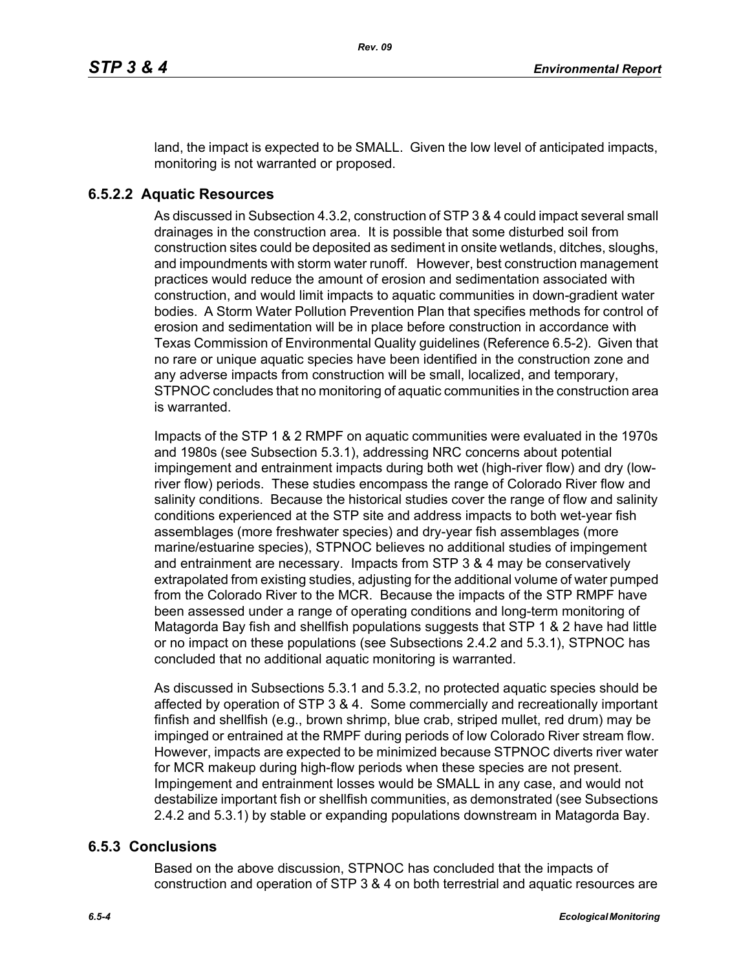land, the impact is expected to be SMALL. Given the low level of anticipated impacts, monitoring is not warranted or proposed.

### **6.5.2.2 Aquatic Resources**

As discussed in Subsection 4.3.2, construction of STP 3 & 4 could impact several small drainages in the construction area. It is possible that some disturbed soil from construction sites could be deposited as sediment in onsite wetlands, ditches, sloughs, and impoundments with storm water runoff. However, best construction management practices would reduce the amount of erosion and sedimentation associated with construction, and would limit impacts to aquatic communities in down-gradient water bodies. A Storm Water Pollution Prevention Plan that specifies methods for control of erosion and sedimentation will be in place before construction in accordance with Texas Commission of Environmental Quality guidelines (Reference 6.5-2). Given that no rare or unique aquatic species have been identified in the construction zone and any adverse impacts from construction will be small, localized, and temporary, STPNOC concludes that no monitoring of aquatic communities in the construction area is warranted.

Impacts of the STP 1 & 2 RMPF on aquatic communities were evaluated in the 1970s and 1980s (see Subsection 5.3.1), addressing NRC concerns about potential impingement and entrainment impacts during both wet (high-river flow) and dry (lowriver flow) periods. These studies encompass the range of Colorado River flow and salinity conditions. Because the historical studies cover the range of flow and salinity conditions experienced at the STP site and address impacts to both wet-year fish assemblages (more freshwater species) and dry-year fish assemblages (more marine/estuarine species), STPNOC believes no additional studies of impingement and entrainment are necessary. Impacts from STP 3 & 4 may be conservatively extrapolated from existing studies, adjusting for the additional volume of water pumped from the Colorado River to the MCR. Because the impacts of the STP RMPF have been assessed under a range of operating conditions and long-term monitoring of Matagorda Bay fish and shellfish populations suggests that STP 1 & 2 have had little or no impact on these populations (see Subsections 2.4.2 and 5.3.1), STPNOC has concluded that no additional aquatic monitoring is warranted.

As discussed in Subsections 5.3.1 and 5.3.2, no protected aquatic species should be affected by operation of STP 3 & 4. Some commercially and recreationally important finfish and shellfish (e.g., brown shrimp, blue crab, striped mullet, red drum) may be impinged or entrained at the RMPF during periods of low Colorado River stream flow. However, impacts are expected to be minimized because STPNOC diverts river water for MCR makeup during high-flow periods when these species are not present. Impingement and entrainment losses would be SMALL in any case, and would not destabilize important fish or shellfish communities, as demonstrated (see Subsections 2.4.2 and 5.3.1) by stable or expanding populations downstream in Matagorda Bay.

#### **6.5.3 Conclusions**

Based on the above discussion, STPNOC has concluded that the impacts of construction and operation of STP 3 & 4 on both terrestrial and aquatic resources are